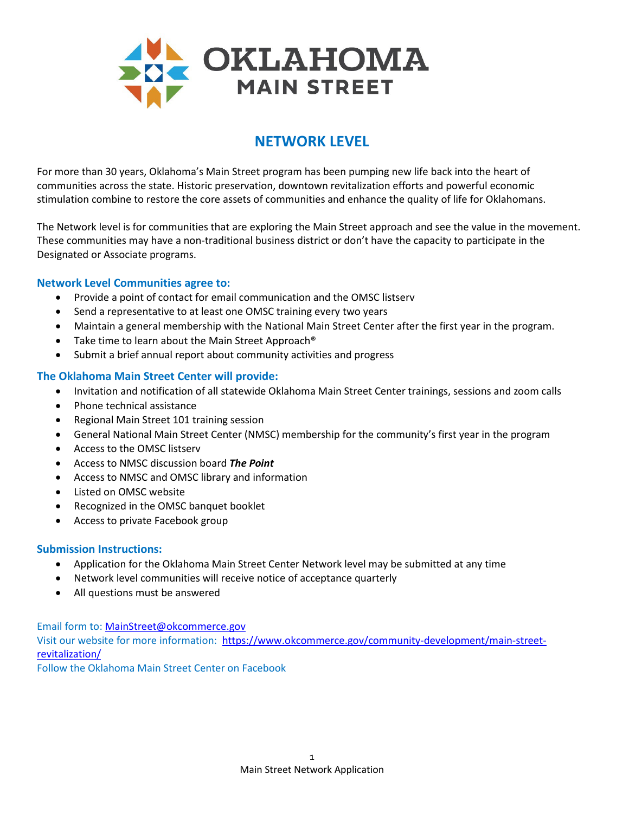

# **NETWORK LEVEL**

For more than 30 years, Oklahoma's Main Street program has been pumping new life back into the heart of communities across the state. Historic preservation, downtown revitalization efforts and powerful economic stimulation combine to restore the core assets of communities and enhance the quality of life for Oklahomans.

The Network level is for communities that are exploring the Main Street approach and see the value in the movement. These communities may have a non-traditional business district or don't have the capacity to participate in the Designated or Associate programs.

### **Network Level Communities agree to:**

- Provide a point of contact for email communication and the OMSC listserv
- Send a representative to at least one OMSC training every two years
- Maintain a general membership with the National Main Street Center after the first year in the program.
- Take time to learn about the Main Street Approach<sup>®</sup>
- Submit a brief annual report about community activities and progress

### **The Oklahoma Main Street Center will provide:**

- Invitation and notification of all statewide Oklahoma Main Street Center trainings, sessions and zoom calls
- Phone technical assistance
- Regional Main Street 101 training session
- General National Main Street Center (NMSC) membership for the community's first year in the program
- Access to the OMSC listserv
- Access to NMSC discussion board *The Point*
- Access to NMSC and OMSC library and information
- Listed on OMSC website
- Recognized in the OMSC banquet booklet
- Access to private Facebook group

#### **Submission Instructions:**

- Application for the Oklahoma Main Street Center Network level may be submitted at any time
- Network level communities will receive notice of acceptance quarterly
- All questions must be answered

Email form to: [MainStreet@okcommerce.gov](mailto:MainStreet@okcommerce.gov)

Visit our website for more information: [https://www.okcommerce.gov/community-development/main-street](https://www.okcommerce.gov/community-development/main-street-revitalization/)[revitalization/](https://www.okcommerce.gov/community-development/main-street-revitalization/)

Follow the Oklahoma Main Street Center on Facebook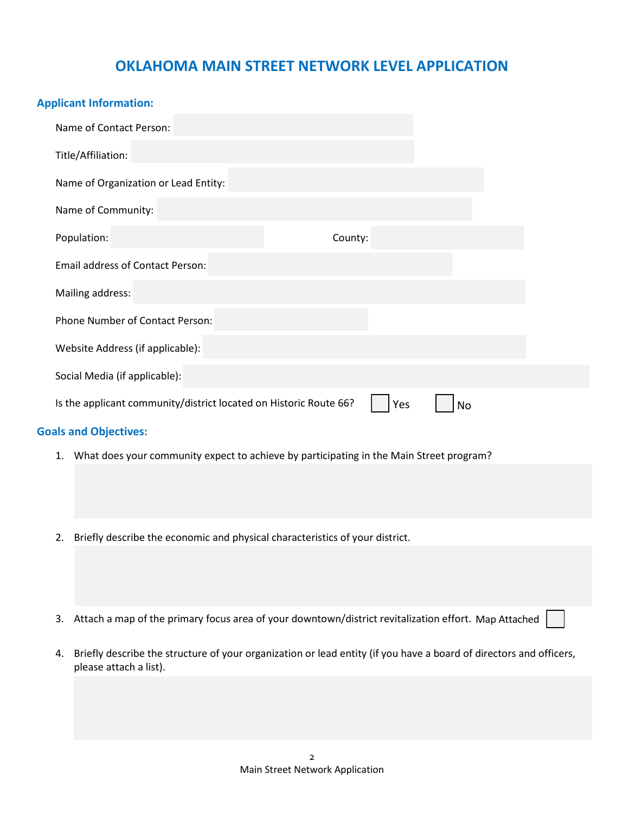## **OKLAHOMA MAIN STREET NETWORK LEVEL APPLICATION**

| <b>Applicant Information:</b>                                                                                            |  |
|--------------------------------------------------------------------------------------------------------------------------|--|
| Name of Contact Person:                                                                                                  |  |
| Title/Affiliation:                                                                                                       |  |
| Name of Organization or Lead Entity:                                                                                     |  |
| Name of Community:                                                                                                       |  |
| Population:<br>County:                                                                                                   |  |
| <b>Email address of Contact Person:</b>                                                                                  |  |
| Mailing address:                                                                                                         |  |
| Phone Number of Contact Person:                                                                                          |  |
| Website Address (if applicable):                                                                                         |  |
| Social Media (if applicable):                                                                                            |  |
| Is the applicant community/district located on Historic Route 66?<br>Yes<br>No                                           |  |
| <b>Goals and Objectives:</b>                                                                                             |  |
| What does your community expect to achieve by participating in the Main Street program?<br>1.                            |  |
|                                                                                                                          |  |
|                                                                                                                          |  |
| Briefly describe the economic and physical characteristics of your district.<br>2.                                       |  |
|                                                                                                                          |  |
|                                                                                                                          |  |
| Attach a map of the primary focus area of your downtown/district revitalization effort. Map Attached<br>3.               |  |
| Briefly describe the structure of your organization or lead entity (if you have a board of directors and officers,<br>4. |  |
| please attach a list).                                                                                                   |  |
|                                                                                                                          |  |
|                                                                                                                          |  |